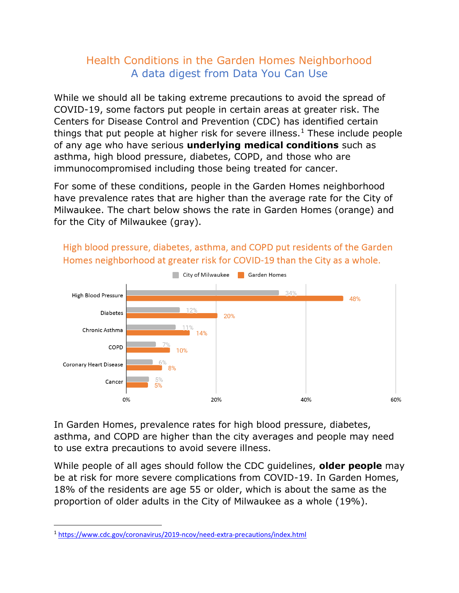## Health Conditions in the Garden Homes Neighborhood A data digest from Data You Can Use

While we should all be taking extreme precautions to avoid the spread of COVID-19, some factors put people in certain areas at greater risk. The Centers for Disease Control and Prevention (CDC) has identified certain things that put people at higher risk for severe illness.<sup>1</sup> These include people of any age who have serious **underlying medical conditions** such as asthma, high blood pressure, diabetes, COPD, and those who are immunocompromised including those being treated for cancer.

For some of these conditions, people in the Garden Homes neighborhood have prevalence rates that are higher than the average rate for the City of Milwaukee. The chart below shows the rate in Garden Homes (orange) and for the City of Milwaukee (gray).



High blood pressure, diabetes, asthma, and COPD put residents of the Garden Homes neighborhood at greater risk for COVID-19 than the City as a whole.

In Garden Homes, prevalence rates for high blood pressure, diabetes, asthma, and COPD are higher than the city averages and people may need to use extra precautions to avoid severe illness.

While people of all ages should follow the CDC guidelines, **older people** may be at risk for more severe complications from COVID-19. In Garden Homes, 18% of the residents are age 55 or older, which is about the same as the proportion of older adults in the City of Milwaukee as a whole (19%).

<sup>1</sup> <https://www.cdc.gov/coronavirus/2019-ncov/need-extra-precautions/index.html>